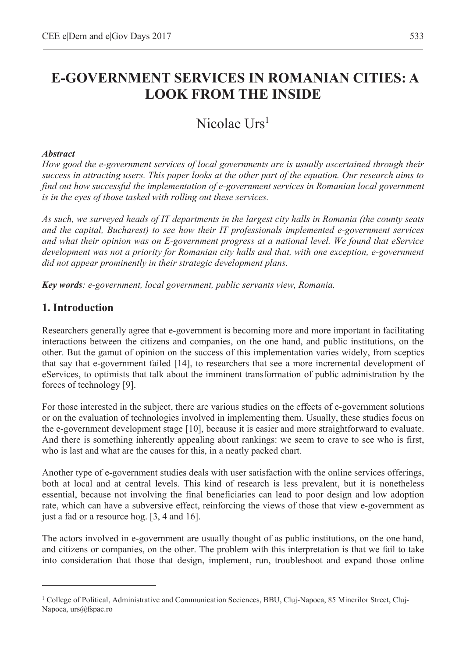# **E-GOVERNMENT SERVICES IN ROMANIAN CITIES: A LOOK FROM THE INSIDE**

# Nicolae Urs<sup>1</sup>

### *Abstract*

*How good the e-government services of local governments are is usually ascertained through their success in attracting users. This paper looks at the other part of the equation. Our research aims to find out how successful the implementation of e-government services in Romanian local government is in the eyes of those tasked with rolling out these services.* 

*As such, we surveyed heads of IT departments in the largest city halls in Romania (the county seats and the capital, Bucharest) to see how their IT professionals implemented e-government services and what their opinion was on E-government progress at a national level. We found that eService development was not a priority for Romanian city halls and that, with one exception, e-government did not appear prominently in their strategic development plans.* 

*Key words: e-government, local government, public servants view, Romania.* 

## **1. Introduction**

 $\overline{a}$ 

Researchers generally agree that e-government is becoming more and more important in facilitating interactions between the citizens and companies, on the one hand, and public institutions, on the other. But the gamut of opinion on the success of this implementation varies widely, from sceptics that say that e-government failed [14], to researchers that see a more incremental development of eServices, to optimists that talk about the imminent transformation of public administration by the forces of technology [9].

For those interested in the subject, there are various studies on the effects of e-government solutions or on the evaluation of technologies involved in implementing them. Usually, these studies focus on the e-government development stage [10], because it is easier and more straightforward to evaluate. And there is something inherently appealing about rankings: we seem to crave to see who is first, who is last and what are the causes for this, in a neatly packed chart.

Another type of e-government studies deals with user satisfaction with the online services offerings, both at local and at central levels. This kind of research is less prevalent, but it is nonetheless essential, because not involving the final beneficiaries can lead to poor design and low adoption rate, which can have a subversive effect, reinforcing the views of those that view e-government as just a fad or a resource hog. [3, 4 and 16].

The actors involved in e-government are usually thought of as public institutions, on the one hand, and citizens or companies, on the other. The problem with this interpretation is that we fail to take into consideration that those that design, implement, run, troubleshoot and expand those online

<sup>&</sup>lt;sup>1</sup> College of Political, Administrative and Communication Scciences, BBU, Cluj-Napoca, 85 Minerilor Street, Cluj-Napoca, urs@fspac.ro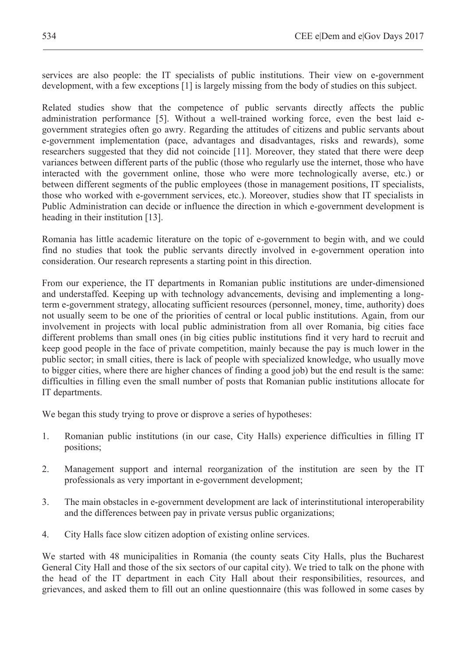services are also people: the IT specialists of public institutions. Their view on e-government development, with a few exceptions [1] is largely missing from the body of studies on this subject.

Related studies show that the competence of public servants directly affects the public administration performance [5]. Without a well-trained working force, even the best laid egovernment strategies often go awry. Regarding the attitudes of citizens and public servants about e-government implementation (pace, advantages and disadvantages, risks and rewards), some researchers suggested that they did not coincide [11]. Moreover, they stated that there were deep variances between different parts of the public (those who regularly use the internet, those who have interacted with the government online, those who were more technologically averse, etc.) or between different segments of the public employees (those in management positions, IT specialists, those who worked with e-government services, etc.). Moreover, studies show that IT specialists in Public Administration can decide or influence the direction in which e-government development is heading in their institution [13].

Romania has little academic literature on the topic of e-government to begin with, and we could find no studies that took the public servants directly involved in e-government operation into consideration. Our research represents a starting point in this direction.

From our experience, the IT departments in Romanian public institutions are under-dimensioned and understaffed. Keeping up with technology advancements, devising and implementing a longterm e-government strategy, allocating sufficient resources (personnel, money, time, authority) does not usually seem to be one of the priorities of central or local public institutions. Again, from our involvement in projects with local public administration from all over Romania, big cities face different problems than small ones (in big cities public institutions find it very hard to recruit and keep good people in the face of private competition, mainly because the pay is much lower in the public sector; in small cities, there is lack of people with specialized knowledge, who usually move to bigger cities, where there are higher chances of finding a good job) but the end result is the same: difficulties in filling even the small number of posts that Romanian public institutions allocate for IT departments.

We began this study trying to prove or disprove a series of hypotheses:

- 1. Romanian public institutions (in our case, City Halls) experience difficulties in filling IT positions;
- 2. Management support and internal reorganization of the institution are seen by the IT professionals as very important in e-government development;
- 3. The main obstacles in e-government development are lack of interinstitutional interoperability and the differences between pay in private versus public organizations;
- 4. City Halls face slow citizen adoption of existing online services.

We started with 48 municipalities in Romania (the county seats City Halls, plus the Bucharest General City Hall and those of the six sectors of our capital city). We tried to talk on the phone with the head of the IT department in each City Hall about their responsibilities, resources, and grievances, and asked them to fill out an online questionnaire (this was followed in some cases by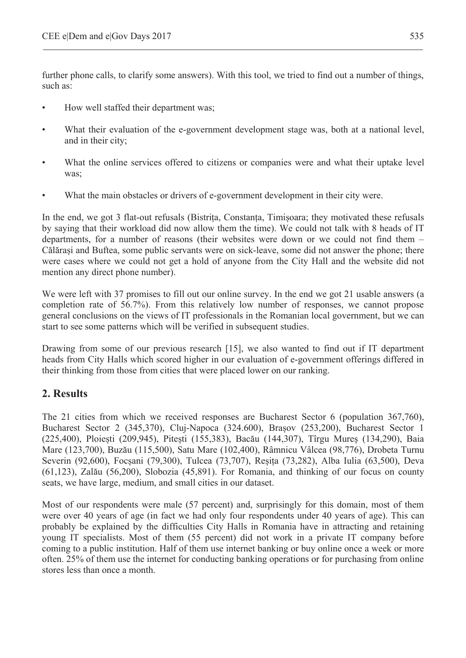further phone calls, to clarify some answers). With this tool, we tried to find out a number of things, such as:

- How well staffed their department was;
- What their evaluation of the e-government development stage was, both at a national level, and in their city;
- What the online services offered to citizens or companies were and what their uptake level was;
- What the main obstacles or drivers of e-government development in their city were.

In the end, we got 3 flat-out refusals (Bistrita, Constanta, Timisoara; they motivated these refusals by saying that their workload did now allow them the time). We could not talk with 8 heads of IT departments, for a number of reasons (their websites were down or we could not find them – Călăra܈i and Buftea, some public servants were on sick-leave, some did not answer the phone; there were cases where we could not get a hold of anyone from the City Hall and the website did not mention any direct phone number).

We were left with 37 promises to fill out our online survey. In the end we got 21 usable answers (a completion rate of 56.7%). From this relatively low number of responses, we cannot propose general conclusions on the views of IT professionals in the Romanian local government, but we can start to see some patterns which will be verified in subsequent studies.

Drawing from some of our previous research [15], we also wanted to find out if IT department heads from City Halls which scored higher in our evaluation of e-government offerings differed in their thinking from those from cities that were placed lower on our ranking.

## **2. Results**

The 21 cities from which we received responses are Bucharest Sector 6 (population 367,760), Bucharest Sector 2 (345,370), Cluj-Napoca (324.600), Bra܈ov (253,200), Bucharest Sector 1 (225,400), Ploiești (209,945), Pitești (155,383), Bacău (144,307), Tîrgu Mureș (134,290), Baia Mare (123,700), Buzău (115,500), Satu Mare (102,400), Râmnicu Vâlcea (98,776), Drobeta Turnu Severin (92,600), Focșani (79,300), Tulcea (73,707), Reșița (73,282), Alba Iulia (63,500), Deva (61,123), Zalău (56,200), Slobozia (45,891). For Romania, and thinking of our focus on county seats, we have large, medium, and small cities in our dataset.

Most of our respondents were male (57 percent) and, surprisingly for this domain, most of them were over 40 years of age (in fact we had only four respondents under 40 years of age). This can probably be explained by the difficulties City Halls in Romania have in attracting and retaining young IT specialists. Most of them (55 percent) did not work in a private IT company before coming to a public institution. Half of them use internet banking or buy online once a week or more often. 25% of them use the internet for conducting banking operations or for purchasing from online stores less than once a month.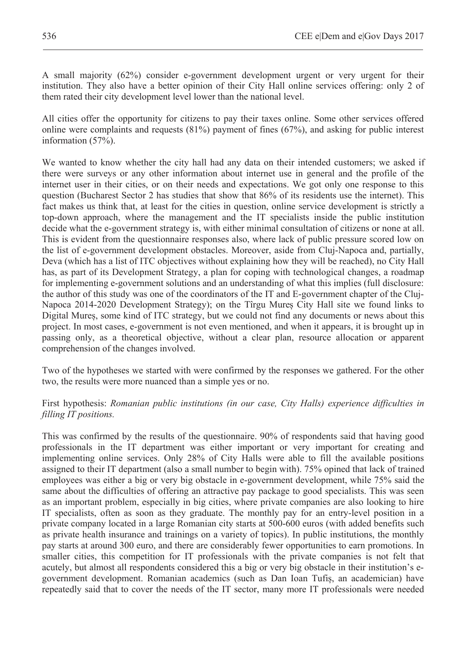A small majority (62%) consider e-government development urgent or very urgent for their institution. They also have a better opinion of their City Hall online services offering: only 2 of them rated their city development level lower than the national level.

All cities offer the opportunity for citizens to pay their taxes online. Some other services offered online were complaints and requests (81%) payment of fines (67%), and asking for public interest information (57%).

We wanted to know whether the city hall had any data on their intended customers; we asked if there were surveys or any other information about internet use in general and the profile of the internet user in their cities, or on their needs and expectations. We got only one response to this question (Bucharest Sector 2 has studies that show that 86% of its residents use the internet). This fact makes us think that, at least for the cities in question, online service development is strictly a top-down approach, where the management and the IT specialists inside the public institution decide what the e-government strategy is, with either minimal consultation of citizens or none at all. This is evident from the questionnaire responses also, where lack of public pressure scored low on the list of e-government development obstacles. Moreover, aside from Cluj-Napoca and, partially, Deva (which has a list of ITC objectives without explaining how they will be reached), no City Hall has, as part of its Development Strategy, a plan for coping with technological changes, a roadmap for implementing e-government solutions and an understanding of what this implies (full disclosure: the author of this study was one of the coordinators of the IT and E-government chapter of the Cluj-Napoca 2014-2020 Development Strategy); on the Tîrgu Mures City Hall site we found links to Digital Mure܈, some kind of ITC strategy, but we could not find any documents or news about this project. In most cases, e-government is not even mentioned, and when it appears, it is brought up in passing only, as a theoretical objective, without a clear plan, resource allocation or apparent comprehension of the changes involved.

Two of the hypotheses we started with were confirmed by the responses we gathered. For the other two, the results were more nuanced than a simple yes or no.

#### First hypothesis: *Romanian public institutions (in our case, City Halls) experience difficulties in filling IT positions.*

This was confirmed by the results of the questionnaire. 90% of respondents said that having good professionals in the IT department was either important or very important for creating and implementing online services. Only 28% of City Halls were able to fill the available positions assigned to their IT department (also a small number to begin with). 75% opined that lack of trained employees was either a big or very big obstacle in e-government development, while 75% said the same about the difficulties of offering an attractive pay package to good specialists. This was seen as an important problem, especially in big cities, where private companies are also looking to hire IT specialists, often as soon as they graduate. The monthly pay for an entry-level position in a private company located in a large Romanian city starts at 500-600 euros (with added benefits such as private health insurance and trainings on a variety of topics). In public institutions, the monthly pay starts at around 300 euro, and there are considerably fewer opportunities to earn promotions. In smaller cities, this competition for IT professionals with the private companies is not felt that acutely, but almost all respondents considered this a big or very big obstacle in their institution's egovernment development. Romanian academics (such as Dan Ioan Tufis, an academician) have repeatedly said that to cover the needs of the IT sector, many more IT professionals were needed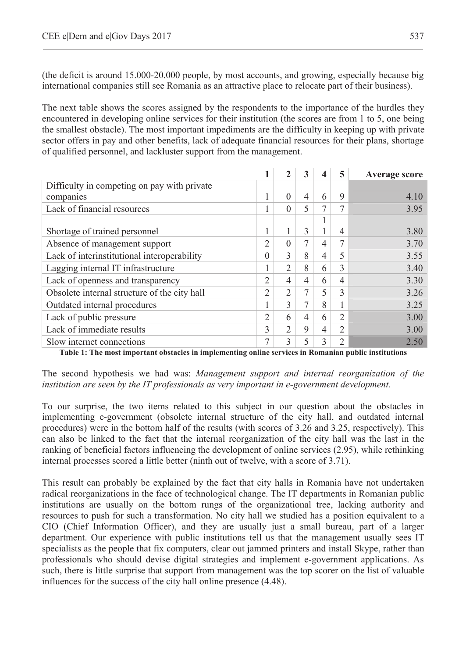(the deficit is around 15.000-20.000 people, by most accounts, and growing, especially because big international companies still see Romania as an attractive place to relocate part of their business).

The next table shows the scores assigned by the respondents to the importance of the hurdles they encountered in developing online services for their institution (the scores are from 1 to 5, one being the smallest obstacle). The most important impediments are the difficulty in keeping up with private sector offers in pay and other benefits, lack of adequate financial resources for their plans, shortage of qualified personnel, and lackluster support from the management.

|                                              |                |                | 3 |   | 5              | Average score |
|----------------------------------------------|----------------|----------------|---|---|----------------|---------------|
| Difficulty in competing on pay with private  |                |                |   |   |                |               |
| companies                                    |                | $\Omega$       | 4 | 6 | 9              | 4.10          |
| Lack of financial resources                  |                | $\Omega$       | 5 |   | 7              | 3.95          |
|                                              |                |                |   |   |                |               |
| Shortage of trained personnel                |                |                | 3 |   | 4              | 3.80          |
| Absence of management support                | 2              | $\Omega$       |   | 4 | 7              | 3.70          |
| Lack of interinstitutional interoperability  | $\theta$       | 3              | 8 | 4 | 5              | 3.55          |
| Lagging internal IT infrastructure           |                | 2              | 8 | 6 | 3              | 3.40          |
| Lack of openness and transparency            | 2              | $\overline{4}$ | 4 | 6 | 4              | 3.30          |
| Obsolete internal structure of the city hall | $\overline{2}$ | 2              | 7 | 5 | 3              | 3.26          |
| Outdated internal procedures                 |                | 3              | 7 | 8 | 1              | 3.25          |
| Lack of public pressure                      | 2              | 6              | 4 | 6 | $\mathfrak{D}$ | 3.00          |
| Lack of immediate results                    | 3              | 2              | 9 | 4 | $\overline{2}$ | 3.00          |
| Slow internet connections                    | 7              | 3              |   |   | $\overline{2}$ | 2.50          |

**Table 1: The most important obstacles in implementing online services in Romanian public institutions** 

The second hypothesis we had was: *Management support and internal reorganization of the institution are seen by the IT professionals as very important in e-government development.* 

To our surprise, the two items related to this subject in our question about the obstacles in implementing e-government (obsolete internal structure of the city hall, and outdated internal procedures) were in the bottom half of the results (with scores of 3.26 and 3.25, respectively). This can also be linked to the fact that the internal reorganization of the city hall was the last in the ranking of beneficial factors influencing the development of online services (2.95), while rethinking internal processes scored a little better (ninth out of twelve, with a score of 3.71).

This result can probably be explained by the fact that city halls in Romania have not undertaken radical reorganizations in the face of technological change. The IT departments in Romanian public institutions are usually on the bottom rungs of the organizational tree, lacking authority and resources to push for such a transformation. No city hall we studied has a position equivalent to a CIO (Chief Information Officer), and they are usually just a small bureau, part of a larger department. Our experience with public institutions tell us that the management usually sees IT specialists as the people that fix computers, clear out jammed printers and install Skype, rather than professionals who should devise digital strategies and implement e-government applications. As such, there is little surprise that support from management was the top scorer on the list of valuable influences for the success of the city hall online presence (4.48).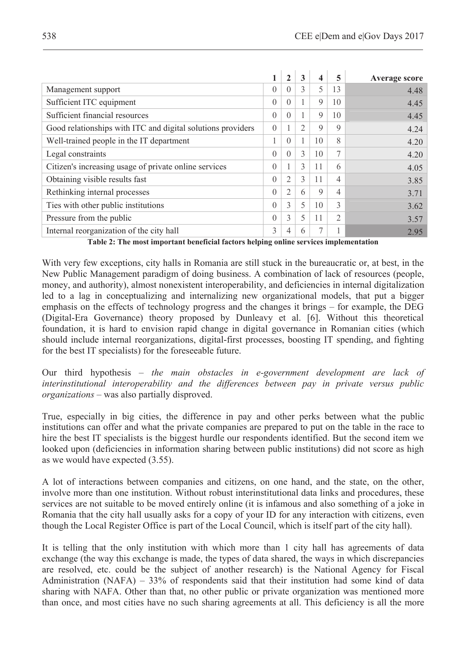|                                                             |          | $\mathbf{2}$   | 3             | 4           | 5              | <b>Average score</b> |
|-------------------------------------------------------------|----------|----------------|---------------|-------------|----------------|----------------------|
| Management support                                          | $\theta$ | $\theta$       | 3             | 5           | 13             | 4.48                 |
| Sufficient ITC equipment                                    | $\theta$ | $\Omega$       |               | 9           | 10             | 4.45                 |
| Sufficient financial resources                              | $\Omega$ | $\Omega$       |               | 9           | 10             | 4.45                 |
| Good relationships with ITC and digital solutions providers | $\theta$ |                | 2             | 9           | 9              | 4.24                 |
| Well-trained people in the IT department                    | 1        | $\Omega$       |               | 10          | 8              | 4.20                 |
| Legal constraints                                           | $\theta$ | $\theta$       | $\mathcal{E}$ | 10          | 7              | 4.20                 |
| Citizen's increasing usage of private online services       | $\theta$ |                | 3             | 11          | 6              | 4.05                 |
| Obtaining visible results fast                              | $\theta$ | $\overline{2}$ | $\mathcal{L}$ | 11          | $\overline{4}$ | 3.85                 |
| Rethinking internal processes                               | $\theta$ | $\overline{2}$ | 6             | $\mathbf Q$ | $\overline{4}$ | 3.71                 |
| Ties with other public institutions                         | $\Omega$ | 3              | 5             | 10          | $\mathcal{E}$  | 3.62                 |
| Pressure from the public                                    | $\Omega$ | 3              | 5             | 11          | $\overline{c}$ | 3.57                 |
| Internal reorganization of the city hall                    | 3        | 4              | 6             | 7           |                | 2.95                 |

**Table 2: The most important beneficial factors helping online services implementation** 

With very few exceptions, city halls in Romania are still stuck in the bureaucratic or, at best, in the New Public Management paradigm of doing business. A combination of lack of resources (people, money, and authority), almost nonexistent interoperability, and deficiencies in internal digitalization led to a lag in conceptualizing and internalizing new organizational models, that put a bigger emphasis on the effects of technology progress and the changes it brings – for example, the DEG (Digital-Era Governance) theory proposed by Dunleavy et al. [6]. Without this theoretical foundation, it is hard to envision rapid change in digital governance in Romanian cities (which should include internal reorganizations, digital-first processes, boosting IT spending, and fighting for the best IT specialists) for the foreseeable future.

Our third hypothesis – *the main obstacles in e-government development are lack of interinstitutional interoperability and the differences between pay in private versus public organizations* – was also partially disproved.

True, especially in big cities, the difference in pay and other perks between what the public institutions can offer and what the private companies are prepared to put on the table in the race to hire the best IT specialists is the biggest hurdle our respondents identified. But the second item we looked upon (deficiencies in information sharing between public institutions) did not score as high as we would have expected (3.55).

A lot of interactions between companies and citizens, on one hand, and the state, on the other, involve more than one institution. Without robust interinstitutional data links and procedures, these services are not suitable to be moved entirely online (it is infamous and also something of a joke in Romania that the city hall usually asks for a copy of your ID for any interaction with citizens, even though the Local Register Office is part of the Local Council, which is itself part of the city hall).

It is telling that the only institution with which more than 1 city hall has agreements of data exchange (the way this exchange is made, the types of data shared, the ways in which discrepancies are resolved, etc. could be the subject of another research) is the National Agency for Fiscal Administration (NAFA) – 33% of respondents said that their institution had some kind of data sharing with NAFA. Other than that, no other public or private organization was mentioned more than once, and most cities have no such sharing agreements at all. This deficiency is all the more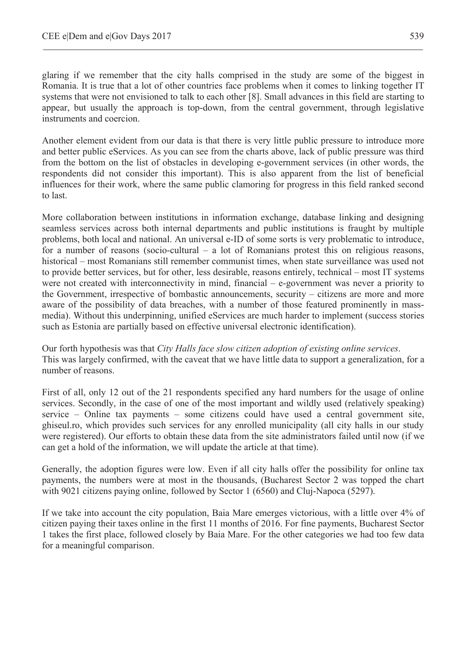glaring if we remember that the city halls comprised in the study are some of the biggest in Romania. It is true that a lot of other countries face problems when it comes to linking together IT systems that were not envisioned to talk to each other [8]. Small advances in this field are starting to appear, but usually the approach is top-down, from the central government, through legislative instruments and coercion.

Another element evident from our data is that there is very little public pressure to introduce more and better public eServices. As you can see from the charts above, lack of public pressure was third from the bottom on the list of obstacles in developing e-government services (in other words, the respondents did not consider this important). This is also apparent from the list of beneficial influences for their work, where the same public clamoring for progress in this field ranked second to last.

More collaboration between institutions in information exchange, database linking and designing seamless services across both internal departments and public institutions is fraught by multiple problems, both local and national. An universal e-ID of some sorts is very problematic to introduce, for a number of reasons (socio-cultural – a lot of Romanians protest this on religious reasons, historical – most Romanians still remember communist times, when state surveillance was used not to provide better services, but for other, less desirable, reasons entirely, technical – most IT systems were not created with interconnectivity in mind, financial – e-government was never a priority to the Government, irrespective of bombastic announcements, security – citizens are more and more aware of the possibility of data breaches, with a number of those featured prominently in massmedia). Without this underpinning, unified eServices are much harder to implement (success stories such as Estonia are partially based on effective universal electronic identification).

Our forth hypothesis was that *City Halls face slow citizen adoption of existing online services*. This was largely confirmed, with the caveat that we have little data to support a generalization, for a number of reasons.

First of all, only 12 out of the 21 respondents specified any hard numbers for the usage of online services. Secondly, in the case of one of the most important and wildly used (relatively speaking) service – Online tax payments – some citizens could have used a central government site, ghiseul.ro, which provides such services for any enrolled municipality (all city halls in our study were registered). Our efforts to obtain these data from the site administrators failed until now (if we can get a hold of the information, we will update the article at that time).

Generally, the adoption figures were low. Even if all city halls offer the possibility for online tax payments, the numbers were at most in the thousands, (Bucharest Sector 2 was topped the chart with 9021 citizens paying online, followed by Sector 1 (6560) and Cluj-Napoca (5297).

If we take into account the city population, Baia Mare emerges victorious, with a little over 4% of citizen paying their taxes online in the first 11 months of 2016. For fine payments, Bucharest Sector 1 takes the first place, followed closely by Baia Mare. For the other categories we had too few data for a meaningful comparison.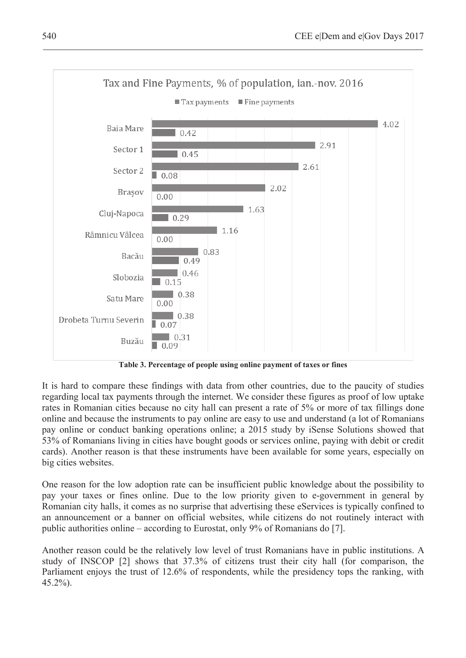

**Table 3. Percentage of people using online payment of taxes or fines**

It is hard to compare these findings with data from other countries, due to the paucity of studies regarding local tax payments through the internet. We consider these figures as proof of low uptake rates in Romanian cities because no city hall can present a rate of 5% or more of tax fillings done online and because the instruments to pay online are easy to use and understand (a lot of Romanians pay online or conduct banking operations online; a 2015 study by iSense Solutions showed that 53% of Romanians living in cities have bought goods or services online, paying with debit or credit cards). Another reason is that these instruments have been available for some years, especially on big cities websites.

One reason for the low adoption rate can be insufficient public knowledge about the possibility to pay your taxes or fines online. Due to the low priority given to e-government in general by Romanian city halls, it comes as no surprise that advertising these eServices is typically confined to an announcement or a banner on official websites, while citizens do not routinely interact with public authorities online – according to Eurostat, only 9% of Romanians do [7].

Another reason could be the relatively low level of trust Romanians have in public institutions. A study of INSCOP [2] shows that 37.3% of citizens trust their city hall (for comparison, the Parliament enjoys the trust of 12.6% of respondents, while the presidency tops the ranking, with 45.2%).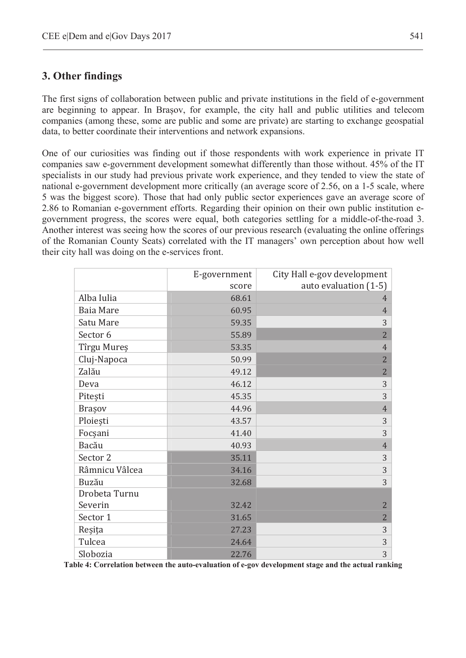### **3. Other findings**

The first signs of collaboration between public and private institutions in the field of e-government are beginning to appear. In Brasov, for example, the city hall and public utilities and telecom companies (among these, some are public and some are private) are starting to exchange geospatial data, to better coordinate their interventions and network expansions.

One of our curiosities was finding out if those respondents with work experience in private IT companies saw e-government development somewhat differently than those without. 45% of the IT specialists in our study had previous private work experience, and they tended to view the state of national e-government development more critically (an average score of 2.56, on a 1-5 scale, where 5 was the biggest score). Those that had only public sector experiences gave an average score of 2.86 to Romanian e-government efforts. Regarding their opinion on their own public institution egovernment progress, the scores were equal, both categories settling for a middle-of-the-road 3. Another interest was seeing how the scores of our previous research (evaluating the online offerings of the Romanian County Seats) correlated with the IT managers' own perception about how well their city hall was doing on the e-services front.

|                | E-government<br>score | City Hall e-gov development<br>auto evaluation (1-5) |
|----------------|-----------------------|------------------------------------------------------|
| Alba Iulia     | 68.61                 | 4                                                    |
| Baia Mare      | 60.95                 | $\overline{4}$                                       |
| Satu Mare      | 59.35                 | 3                                                    |
| Sector 6       | 55.89                 | $\overline{2}$                                       |
| Tîrgu Mureș    | 53.35                 | $\overline{4}$                                       |
| Cluj-Napoca    | 50.99                 | $\overline{2}$                                       |
| Zalău          | 49.12                 | $\overline{2}$                                       |
| Deva           | 46.12                 | 3                                                    |
| Pitești        | 45.35                 | 3                                                    |
| Brașov         | 44.96                 | $\overline{4}$                                       |
| Ploiești       | 43.57                 | 3                                                    |
| Focșani        | 41.40                 | 3                                                    |
| Bacău          | 40.93                 | $\overline{4}$                                       |
| Sector 2       | 35.11                 | 3                                                    |
| Râmnicu Vâlcea | 34.16                 | 3                                                    |
| Buzău          | 32.68                 | 3                                                    |
| Drobeta Turnu  |                       |                                                      |
| Severin        | 32.42                 | $\overline{2}$                                       |
| Sector 1       | 31.65                 | $\overline{2}$                                       |
| Reșița         | 27.23                 | 3                                                    |
| Tulcea         | 24.64                 | 3                                                    |
| Slobozia       | 22.76                 | 3                                                    |

Slobozia 22.76<br> **Table 4: Correlation between the auto-evaluation of e-gov development stage and the actual ranking**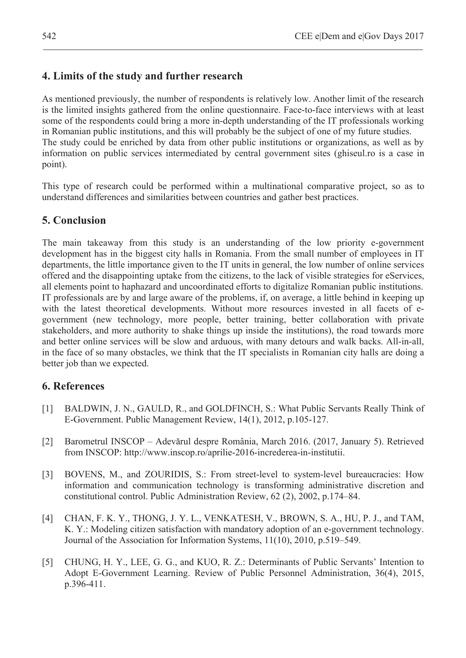## **4. Limits of the study and further research**

As mentioned previously, the number of respondents is relatively low. Another limit of the research is the limited insights gathered from the online questionnaire. Face-to-face interviews with at least some of the respondents could bring a more in-depth understanding of the IT professionals working in Romanian public institutions, and this will probably be the subject of one of my future studies. The study could be enriched by data from other public institutions or organizations, as well as by information on public services intermediated by central government sites (ghiseul.ro is a case in point).

This type of research could be performed within a multinational comparative project, so as to understand differences and similarities between countries and gather best practices.

## **5. Conclusion**

The main takeaway from this study is an understanding of the low priority e-government development has in the biggest city halls in Romania. From the small number of employees in IT departments, the little importance given to the IT units in general, the low number of online services offered and the disappointing uptake from the citizens, to the lack of visible strategies for eServices, all elements point to haphazard and uncoordinated efforts to digitalize Romanian public institutions. IT professionals are by and large aware of the problems, if, on average, a little behind in keeping up with the latest theoretical developments. Without more resources invested in all facets of egovernment (new technology, more people, better training, better collaboration with private stakeholders, and more authority to shake things up inside the institutions), the road towards more and better online services will be slow and arduous, with many detours and walk backs. All-in-all, in the face of so many obstacles, we think that the IT specialists in Romanian city halls are doing a better job than we expected.

## **6. References**

- [1] BALDWIN, J. N., GAULD, R., and GOLDFINCH, S.: What Public Servants Really Think of E-Government. Public Management Review, 14(1), 2012, p.105-127.
- [2] Barometrul INSCOP Adevărul despre România, March 2016. (2017, January 5). Retrieved from INSCOP: http://www.inscop.ro/aprilie-2016-increderea-in-institutii.
- [3] BOVENS, M., and ZOURIDIS, S.: From street-level to system-level bureaucracies: How information and communication technology is transforming administrative discretion and constitutional control. Public Administration Review, 62 (2), 2002, p.174–84.
- [4] CHAN, F. K. Y., THONG, J. Y. L., VENKATESH, V., BROWN, S. A., HU, P. J., and TAM, K. Y.: Modeling citizen satisfaction with mandatory adoption of an e-government technology. Journal of the Association for Information Systems, 11(10), 2010, p.519–549.
- [5] CHUNG, H. Y., LEE, G. G., and KUO, R. Z.: Determinants of Public Servants' Intention to Adopt E-Government Learning. Review of Public Personnel Administration, 36(4), 2015, p.396-411.